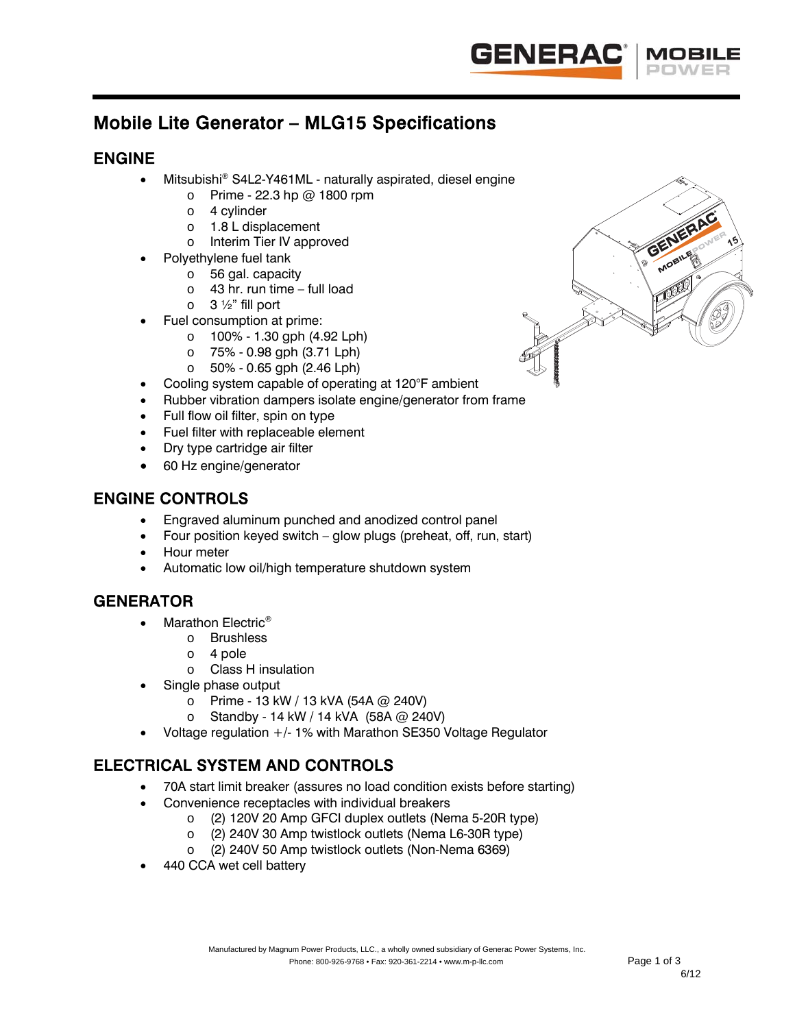

# Mobile Lite Generator – MLG15 Specifications

# ENGINE

- Mitsubishi® S4L2-Y461ML naturally aspirated, diesel engine
	- $\circ$  Prime 22.3 hp @ 1800 rpm
	- o 4 cylinder
	- o 1.8 L displacement
	- o Interim Tier IV approved
- Polyethylene fuel tank
	- o 56 gal. capacity
	- $\circ$  43 hr. run time full load
	- $\circ$  3  $\frac{1}{2}$ " fill port
- Fuel consumption at prime:
	- o 100% 1.30 gph (4.92 Lph)
	- o 75% 0.98 gph (3.71 Lph)
	- o 50% 0.65 gph (2.46 Lph)
- Cooling system capable of operating at 120°F ambient
- Rubber vibration dampers isolate engine/generator from frame
- Full flow oil filter, spin on type
- Fuel filter with replaceable element
- Dry type cartridge air filter
- 60 Hz engine/generator

## ENGINE CONTROLS

- Engraved aluminum punched and anodized control panel
- Four position keyed switch glow plugs (preheat, off, run, start)
- Hour meter
- Automatic low oil/high temperature shutdown system

# **GENERATOR**

- Marathon Electric<sup>®</sup>
	- o Brushless
	- o 4 pole
	- o Class H insulation
- Single phase output
	- o Prime 13 kW / 13 kVA (54A @ 240V)
	- o Standby 14 kW / 14 kVA (58A @ 240V)
- Voltage regulation +/- 1% with Marathon SE350 Voltage Regulator

# ELECTRICAL SYSTEM AND CONTROLS

- 70A start limit breaker (assures no load condition exists before starting)
- Convenience receptacles with individual breakers
	- o (2) 120V 20 Amp GFCI duplex outlets (Nema 5-20R type)
	- o (2) 240V 30 Amp twistlock outlets (Nema L6-30R type)
	- o (2) 240V 50 Amp twistlock outlets (Non-Nema 6369)
- 440 CCA wet cell battery

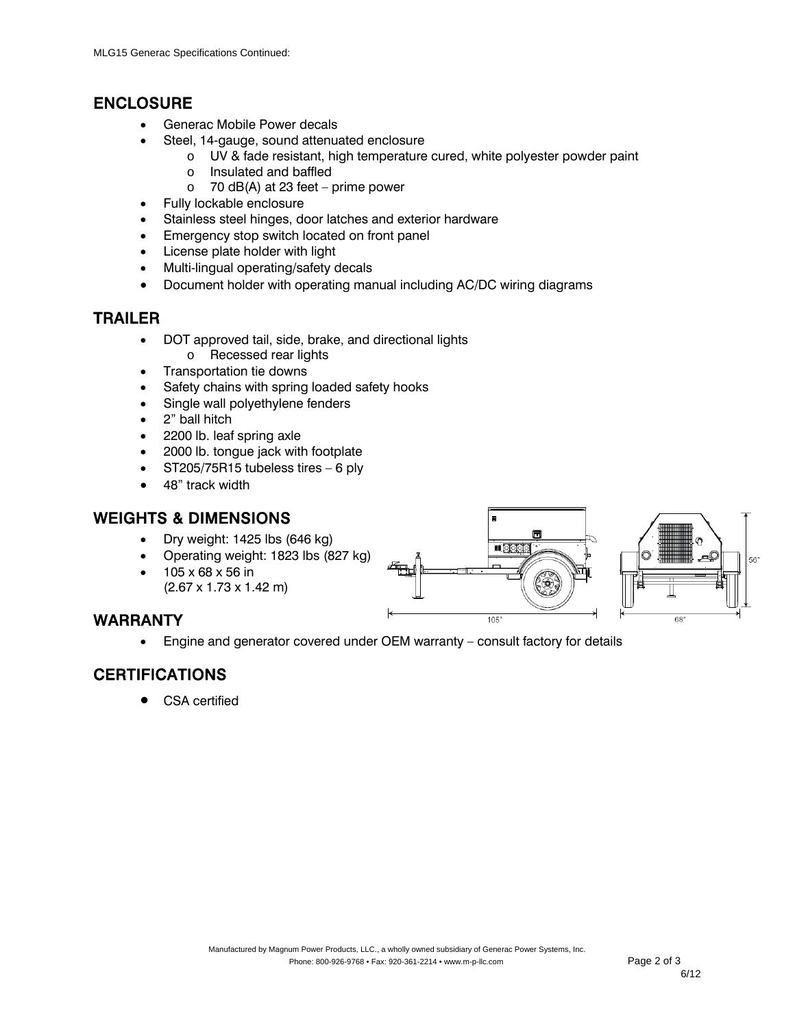#### ENCLOSURE

- Generac Mobile Power decals
- Steel, 14-gauge, sound attenuated enclosure
	- o UV & fade resistant, high temperature cured, white polyester powder paint
	- o Insulated and baffled
	- $\circ$  70 dB(A) at 23 feet prime power
- Fully lockable enclosure
- Stainless steel hinges, door latches and exterior hardware
- **Emergency stop switch located on front panel**
- License plate holder with light
- Multi-lingual operating/safety decals
- Document holder with operating manual including AC/DC wiring diagrams

#### TRAILER

- DOT approved tail, side, brake, and directional lights o Recessed rear lights
- Transportation tie downs
- Safety chains with spring loaded safety hooks
- Single wall polyethylene fenders
- 2" ball hitch
- 2200 lb. leaf spring axle
- 2000 lb. tongue jack with footplate
- $\bullet$  ST205/75R15 tubeless tires  $-6$  ply
- 48" track width

### WEIGHTS & DIMENSIONS

- Dry weight: 1425 lbs (646 kg)
- Operating weight: 1823 lbs (827 kg)
- 105 x 68 x 56 in (2.67 x 1.73 x 1.42 m)



Engine and generator covered under OEM warranty – consult factory for details

# CERTIFICATIONS

CSA certified



 $105'$ 

 $68'$